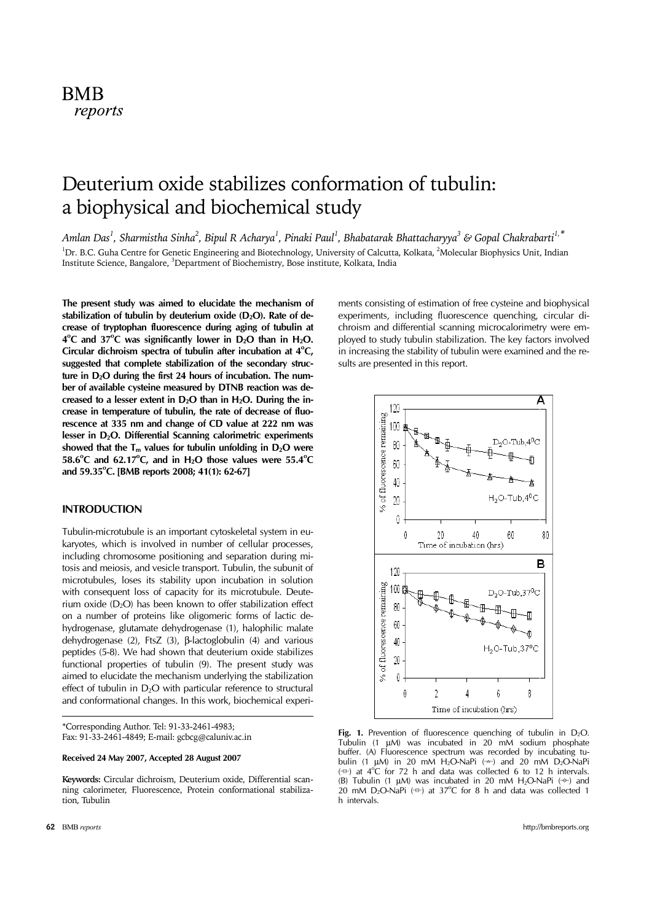# **BMB** reports

# Deuterium oxide stabilizes conformation of tubulin: a biophysical and biochemical study

Amlan Das<sup>1</sup>, Sharmistha Sinha<sup>2</sup>, Bipul R Acharya<sup>1</sup>, Pinaki Paul<sup>1</sup>, Bhabatarak Bhattacharyya<sup>3</sup> & Gopal Chakrabarti<sup>1,\*</sup> <sup>1</sup>Dr. B.C. Guha Centre for Genetic Engineering and Biotechnology, University of Calcutta, Kolkata, <sup>2</sup>Molecular Biophysics Unit, Indian Institute Science, Bangalore, <sup>3</sup>Department of Biochemistry, Bose institute, Kolkata, India

**The present study was aimed to elucidate the mechanism of**  stabilization of tubulin by deuterium oxide (D<sub>2</sub>O). Rate of de**crease of tryptophan fluorescence during aging of tubulin at**  4<sup>o</sup>C and 37<sup>o</sup>C was significantly lower in D<sub>2</sub>O than in H<sub>2</sub>O. Circular dichroism spectra of tubulin after incubation at 4°C, **suggested that complete stabilization of the secondary struc**ture in D<sub>2</sub>O during the first 24 hours of incubation. The num**ber of available cysteine measured by DTNB reaction was de**creased to a lesser extent in D<sub>2</sub>O than in H<sub>2</sub>O. During the in**crease in temperature of tubulin, the rate of decrease of fluorescence at 335 nm and change of CD value at 222 nm was**  lesser in D<sub>2</sub>O. Differential Scanning calorimetric experiments showed that the  $T_m$  values for tubulin unfolding in  $D_2O$  were  $58.6^{\circ}$ C and  $62.17^{\circ}$ C, and in H<sub>2</sub>O those values were  $55.4^{\circ}$ C and 59.35<sup>°</sup>C. [BMB reports 2008; 41(1): 62-67]

# **INTRODUCTION**

Tubulin-microtubule is an important cytoskeletal system in eukaryotes, which is involved in number of cellular processes, including chromosome positioning and separation during mitosis and meiosis, and vesicle transport. Tubulin, the subunit of microtubules, loses its stability upon incubation in solution with consequent loss of capacity for its microtubule. Deuterium oxide  $(D_2O)$  has been known to offer stabilization effect on a number of proteins like oligomeric forms of lactic dehydrogenase, glutamate dehydrogenase (1), halophilic malate dehydrogenase (2), FtsZ (3), β-lactoglobulin (4) and various peptides (5-8). We had shown that deuterium oxide stabilizes functional properties of tubulin (9). The present study was aimed to elucidate the mechanism underlying the stabilization effect of tubulin in D<sub>2</sub>O with particular reference to structural and conformational changes. In this work, biochemical experi-

\*Corresponding Author. Tel: 91-33-2461-4983; Fax: 91-33-2461-4849; E-mail: gcbcg@caluniv.ac.in

## **Received 24 May 2007, Accepted 28 August 2007**

**Keywords:** Circular dichroism, Deuterium oxide, Differential scanning calorimeter, Fluorescence, Protein conformational stabilization, Tubulin

ments consisting of estimation of free cysteine and biophysical experiments, including fluorescence quenching, circular dichroism and differential scanning microcalorimetry were employed to study tubulin stabilization. The key factors involved in increasing the stability of tubulin were examined and the results are presented in this report.



Fig. 1. Prevention of fluorescence quenching of tubulin in D<sub>2</sub>O. Tubulin (1 μM) was incubated in 20 mM sodium phosphate buffer. (A) Fluorescence spectrum was recorded by incubating tubulin (1  $\mu$ M) in 20 mM H<sub>2</sub>O-NaPi ( $\rightarrow$ ) and 20 mM D<sub>2</sub>O-NaPi  $(\oplus)$  at 4<sup>o</sup>C for 72 h and data was collected 6 to 12 h intervals. (B) Tubulin (1  $\mu$ M) was incubated in 20 mM H<sub>2</sub>O-NaPi ( $\leftrightarrow$ ) and 20 mM D<sub>2</sub>O-NaPi ( $\oplus$ ) at 37°C for 8 h and data was collected 1 h intervals.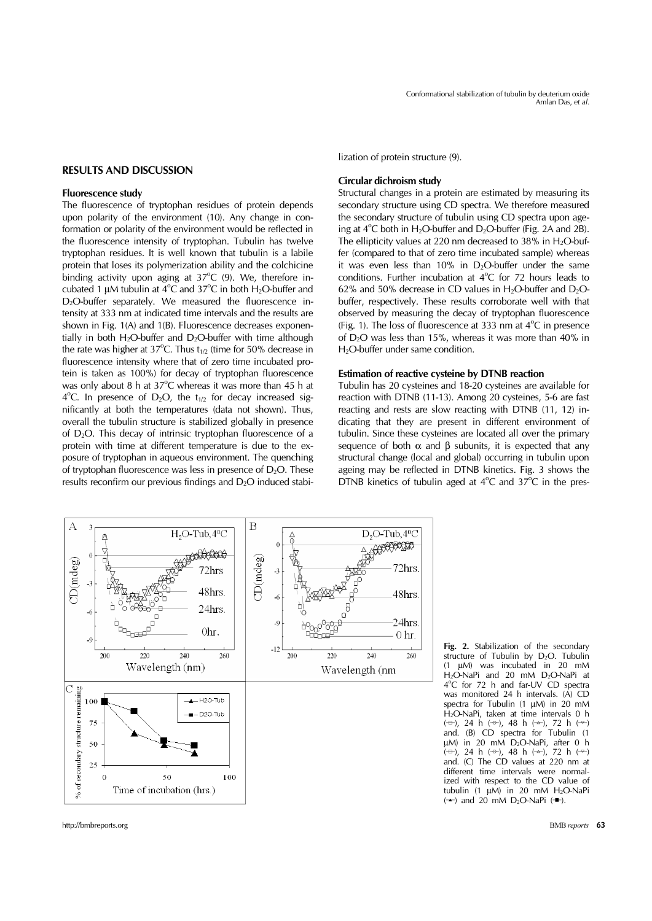#### **RESULTS AND DISCUSSION**

#### **Fluorescence study**

The fluorescence of tryptophan residues of protein depends upon polarity of the environment (10). Any change in conformation or polarity of the environment would be reflected in the fluorescence intensity of tryptophan. Tubulin has twelve tryptophan residues. It is well known that tubulin is a labile protein that loses its polymerization ability and the colchicine binding activity upon aging at  $37^{\circ}$ C (9). We, therefore incubated 1  $\mu$ M tubulin at 4<sup>o</sup>C and 37<sup>o</sup>C in both H<sub>2</sub>O-buffer and D<sub>2</sub>O-buffer separately. We measured the fluorescence intensity at 333 nm at indicated time intervals and the results are shown in Fig. 1(A) and 1(B). Fluorescence decreases exponentially in both  $H_2O$ -buffer and  $D_2O$ -buffer with time although the rate was higher at  $37^{\circ}$ C. Thus  $t_{1/2}$  (time for 50% decrease in fluorescence intensity where that of zero time incubated protein is taken as 100%) for decay of tryptophan fluorescence was only about 8 h at  $37^{\circ}$ C whereas it was more than 45 h at  $4^{\circ}$ C. In presence of D<sub>2</sub>O, the t<sub>1/2</sub> for decay increased significantly at both the temperatures (data not shown). Thus, overall the tubulin structure is stabilized globally in presence of D2O. This decay of intrinsic tryptophan fluorescence of a protein with time at different temperature is due to the exposure of tryptophan in aqueous environment. The quenching of tryptophan fluorescence was less in presence of  $D_2O$ . These results reconfirm our previous findings and  $D_2O$  induced stabi-

## **Circular dichroism study**

Structural changes in a protein are estimated by measuring its secondary structure using CD spectra. We therefore measured the secondary structure of tubulin using CD spectra upon ageing at  $4^{\circ}$ C both in H<sub>2</sub>O-buffer and D<sub>2</sub>O-buffer (Fig. 2A and 2B). The ellipticity values at 220 nm decreased to 38% in  $H_2O$ -buffer (compared to that of zero time incubated sample) whereas it was even less than  $10\%$  in D<sub>2</sub>O-buffer under the same conditions. Further incubation at  $4^{\circ}$ C for 72 hours leads to 62% and 50% decrease in CD values in  $H_2O$ -buffer and  $D_2O$ buffer, respectively. These results corroborate well with that observed by measuring the decay of tryptophan fluorescence (Fig. 1). The loss of fluorescence at 333 nm at  $4^{\circ}$ C in presence of D2O was less than 15%, whereas it was more than 40% in H<sub>2</sub>O-buffer under same condition.

#### **Estimation of reactive cysteine by DTNB reaction**

Tubulin has 20 cysteines and 18-20 cysteines are available for reaction with DTNB (11-13). Among 20 cysteines, 5-6 are fast reacting and rests are slow reacting with DTNB (11, 12) indicating that they are present in different environment of tubulin. Since these cysteines are located all over the primary sequence of both  $\alpha$  and  $\beta$  subunits, it is expected that any structural change (local and global) occurring in tubulin upon ageing may be reflected in DTNB kinetics. Fig. 3 shows the DTNB kinetics of tubulin aged at  $4^{\circ}$ C and  $37^{\circ}$ C in the pres-



**Fig. 2.** Stabilization of the secondary structure of Tubulin by D<sub>2</sub>O. Tubulin (1 μM) was incubated in 20 mM H2O-NaPi and 20 mM D2O-NaPi at 4°C for 72 h and far-UV CD spectra was monitored 24 h intervals. (A) CD spectra for Tubulin (1 μM) in 20 mM H2O-NaPi, taken at time intervals 0 h (─▫), 24 h (─◦), 48 h (─▵), 72 h (─▿) and. (B) CD spectra for Tubulin (1 μM) in 20 mM D2O-NaPi, after 0 h  $(\oplus)$ , 24 h  $(\oplus)$ , 48 h  $(\oplus)$ , 72 h  $(\oplus)$ and. (C) The CD values at 220 nm at different time intervals were normalized with respect to the CD value of tubulin (1 μM) in 20 mM  $H_2O-NaPi$  $(\rightarrow)$  and 20 mM D<sub>2</sub>O-NaPi ( $\rightarrow$ ).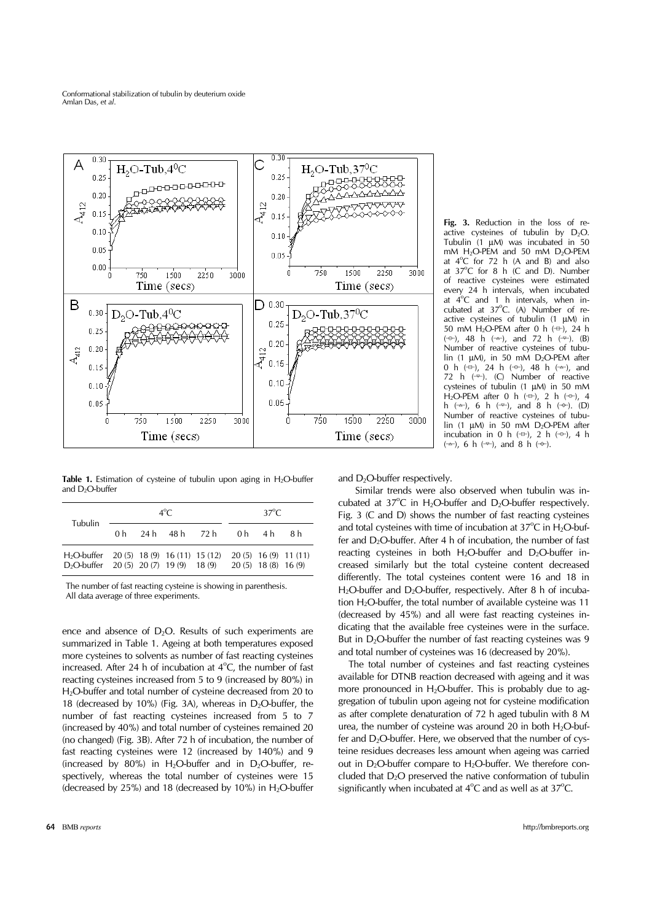

**Table 1.** Estimation of cysteine of tubulin upon aging in  $H_2O$ -buffer and  $D_2O$ -buffer

| Tubulin                                                                                    | $4^{\circ}C$ |  |  |                         | $37^{\circ}C$ |                       |                        |
|--------------------------------------------------------------------------------------------|--------------|--|--|-------------------------|---------------|-----------------------|------------------------|
|                                                                                            |              |  |  | 0h 24h 48h 72h 0h 4h 8h |               |                       |                        |
| $H_2$ O-buffer 20 (5) 18 (9) 16 (11) 15 (12)<br>$D_2$ O-buffer 20 (5) 20 (7) 19 (9) 18 (9) |              |  |  |                         |               | $20(5)$ 18 (8) 16 (9) | $20(5)$ 16 (9) 11 (11) |

 The number of fast reacting cysteine is showing in parenthesis. All data average of three experiments.

ence and absence of  $D_2O$ . Results of such experiments are summarized in Table 1. Ageing at both temperatures exposed more cysteines to solvents as number of fast reacting cysteines increased. After 24 h of incubation at  $4^{\circ}$ C, the number of fast reacting cysteines increased from 5 to 9 (increased by 80%) in H2O-buffer and total number of cysteine decreased from 20 to 18 (decreased by 10%) (Fig. 3A), whereas in  $D_2O$ -buffer, the number of fast reacting cysteines increased from 5 to 7 (increased by 40%) and total number of cysteines remained 20 (no changed) (Fig. 3B). After 72 h of incubation, the number of fast reacting cysteines were 12 (increased by 140%) and 9 (increased by 80%) in H<sub>2</sub>O-buffer and in D<sub>2</sub>O-buffer, respectively, whereas the total number of cysteines were 15 (decreased by  $25\%$ ) and 18 (decreased by 10%) in H<sub>2</sub>O-buffer

**Fig. 3.** Reduction in the loss of reactive cysteines of tubulin by  $D_2O$ . Tubulin (1 μM) was incubated in 50 mM  $H_2O$ -PEM and 50 mM  $D_2O$ -PEM at  $4^{\circ}$ C for 72 h (A and B) and also at  $37^{\circ}$ C for 8 h (C and D). Number of reactive cysteines were estimated every 24 h intervals, when incubated at  $\vec{4}^{\circ}$ C and 1 h intervals, when incubated at 37°C. (A) Number of reactive cysteines of tubulin (1 μM) in 50 mM  $H_2O$ -PEM after 0 h  $(\oplus)$ , 24 h  $(-\rightarrow)$ , 48 h  $(-\rightarrow)$ , and 72 h  $(-\rightarrow)$ . (B) Number of reactive cysteines of tubulin (1  $\mu$ M), in 50 mM D<sub>2</sub>O-PEM after 0 h  $(\pm)$ , 24 h  $(\pm)$ , 48 h  $(\pm)$ , and 72 h  $(\nabla)$ . (C) Number of reactive cysteines of tubulin (1 μM) in 50 mM H<sub>2</sub>O-PEM after 0 h ( $\leftrightarrow$ ), 2 h ( $\leftrightarrow$ ), 4 h  $(\rightarrow)$ , 6 h  $(\rightarrow)$ , and 8 h  $(\rightarrow)$ . (D) Number of reactive cysteines of tubulin (1  $\mu$ M) in 50 mM D<sub>2</sub>O-PEM after incubation in 0 h ( $\oplus$ ), 2 h ( $\ominus$ ), 4 h  $(\rightarrow)$ , 6 h  $(\rightarrow)$ , and 8 h  $(\rightarrow)$ .

and  $D_2O$ -buffer respectively.

 Similar trends were also observed when tubulin was incubated at  $37^{\circ}$ C in H<sub>2</sub>O-buffer and D<sub>2</sub>O-buffer respectively. Fig. 3 (C and D) shows the number of fast reacting cysteines and total cysteines with time of incubation at  $37^{\circ}$ C in H<sub>2</sub>O-buffer and  $D_2O$ -buffer. After 4 h of incubation, the number of fast reacting cysteines in both  $H_2O$ -buffer and  $D_2O$ -buffer increased similarly but the total cysteine content decreased differently. The total cysteines content were 16 and 18 in H<sub>2</sub>O-buffer and D<sub>2</sub>O-buffer, respectively. After 8 h of incubation H<sub>2</sub>O-buffer, the total number of available cysteine was 11 (decreased by 45%) and all were fast reacting cysteines indicating that the available free cysteines were in the surface. But in  $D_2O$ -buffer the number of fast reacting cysteines was 9 and total number of cysteines was 16 (decreased by 20%).

 The total number of cysteines and fast reacting cysteines available for DTNB reaction decreased with ageing and it was more pronounced in  $H_2O$ -buffer. This is probably due to aggregation of tubulin upon ageing not for cysteine modification as after complete denaturation of 72 h aged tubulin with 8 M urea, the number of cysteine was around 20 in both  $H_2O$ -buffer and  $D_2O$ -buffer. Here, we observed that the number of cysteine residues decreases less amount when ageing was carried out in D<sub>2</sub>O-buffer compare to  $H_2O$ -buffer. We therefore concluded that D2O preserved the native conformation of tubulin significantly when incubated at  $4^{\circ}$ C and as well as at  $37^{\circ}$ C.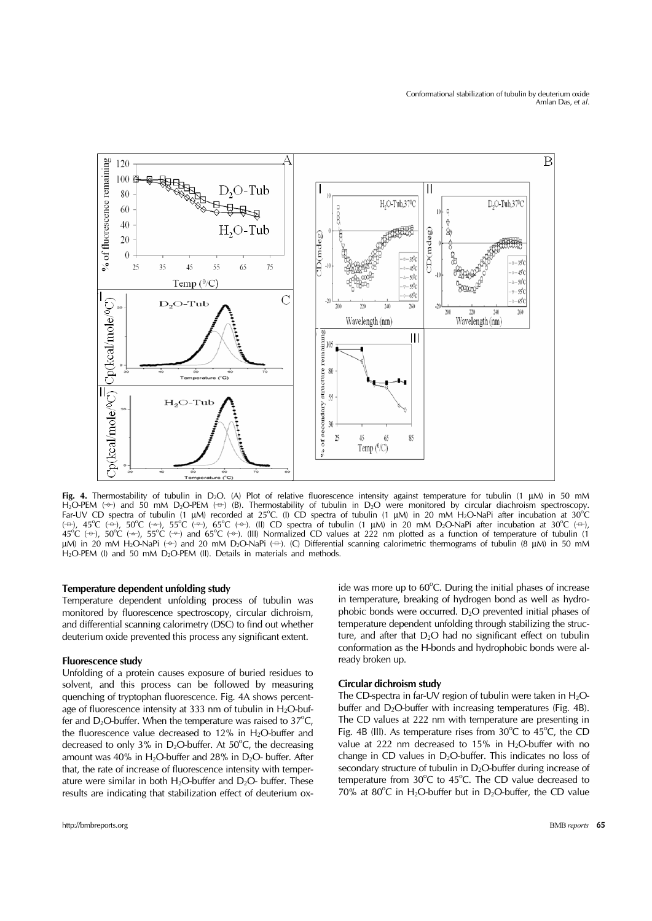

Fig. 4. Thermostability of tubulin in D<sub>2</sub>O. (A) Plot of relative fluorescence intensity against temperature for tubulin (1 μM) in 50 mM H<sub>2</sub>O-PEM (↔) and 50 mM D<sub>2</sub>O-PEM (↔) (B). Thermostability of tubulin in D<sub>2</sub>O were monitored by circular diachroism spectroscopy.<br>Far-UV CD spectra of tubulin (1 μM) recorded at 25°C. (I) CD spectra of tubulin (1 μM) in (=), 45°C (→), 50°C (→), 55°C (→), 65°C (→). (II) CD spectra of tubulin (1 μM) in 20 mM D<sub>2</sub>O-NaPi after incubation at 30°C (=+), 56°C (→), 50°C (→), 55°C (→), 65°C (→), 65°C (→), 65°C (→), 65°C (→), 65°C (→), 65°C (→), μM) in 20 mM H<sub>2</sub>O-NaPi (→) and 20 mM D<sub>2</sub>O-NaPi (=). (C) Differential scanning calorimetric thermograms of tubulin (8 μM) in 50 mM H<sub>2</sub>O-PEM (I) and 50 mM D<sub>2</sub>O-PEM (II). Details in materials and methods.

#### **Temperature dependent unfolding study**

Temperature dependent unfolding process of tubulin was monitored by fluorescence spectroscopy, circular dichroism, and differential scanning calorimetry (DSC) to find out whether deuterium oxide prevented this process any significant extent.

#### **Fluorescence study**

Unfolding of a protein causes exposure of buried residues to solvent, and this process can be followed by measuring quenching of tryptophan fluorescence. Fig. 4A shows percentage of fluorescence intensity at 333 nm of tubulin in  $H_2O$ -buffer and  $D_2O$ -buffer. When the temperature was raised to  $37^{\circ}C$ , the fluorescence value decreased to  $12\%$  in H<sub>2</sub>O-buffer and decreased to only 3% in  $D_2O$ -buffer. At 50 $^{\circ}C$ , the decreasing amount was 40% in  $H_2O$ -buffer and 28% in  $D_2O$ - buffer. After that, the rate of increase of fluorescence intensity with temperature were similar in both  $H_2O$ -buffer and  $D_2O$ - buffer. These results are indicating that stabilization effect of deuterium ox-

ide was more up to 60°C. During the initial phases of increase in temperature, breaking of hydrogen bond as well as hydrophobic bonds were occurred.  $D_2O$  prevented initial phases of temperature dependent unfolding through stabilizing the structure, and after that  $D_2O$  had no significant effect on tubulin conformation as the H-bonds and hydrophobic bonds were already broken up.

#### **Circular dichroism study**

The CD-spectra in far-UV region of tubulin were taken in  $H_2O$ buffer and  $D_2O$ -buffer with increasing temperatures (Fig. 4B). The CD values at 222 nm with temperature are presenting in Fig. 4B (III). As temperature rises from  $30^{\circ}$ C to  $45^{\circ}$ C, the CD value at 222 nm decreased to 15% in  $H_2O$ -buffer with no change in CD values in  $D_2O$ -buffer. This indicates no loss of secondary structure of tubulin in  $D_2O$ -buffer during increase of temperature from  $30^{\circ}$ C to  $45^{\circ}$ C. The CD value decreased to 70% at 80°C in H<sub>2</sub>O-buffer but in D<sub>2</sub>O-buffer, the CD value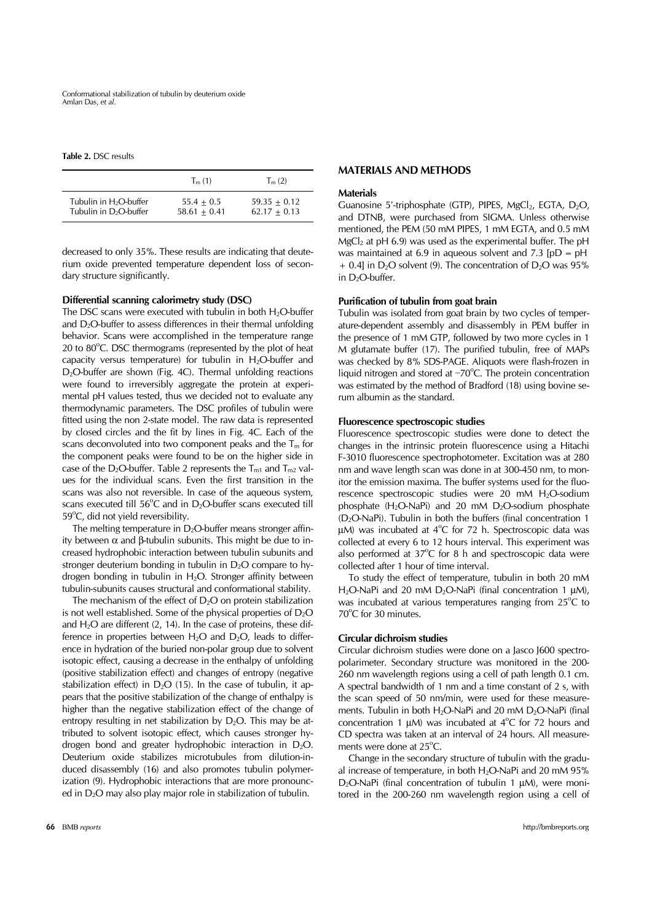Conformational stabilization of tubulin by deuterium oxide Amlan Das, *et al*.

**Table 2.** DSC results

|                                    | $T_m(1)$       | $T_{m}$ (2)    |
|------------------------------------|----------------|----------------|
| Tubulin in H <sub>2</sub> O-buffer | $55.4 + 0.5$   | $59.35 + 0.12$ |
| Tubulin in D <sub>2</sub> O-buffer | $58.61 + 0.41$ | $62.17 + 0.13$ |

decreased to only 35%. These results are indicating that deuterium oxide prevented temperature dependent loss of secondary structure significantly.

#### **Differential scanning calorimetry study (DSC)**

The DSC scans were executed with tubulin in both  $H_2O$ -buffer and  $D_2O$ -buffer to assess differences in their thermal unfolding behavior. Scans were accomplished in the temperature range 20 to 80°C. DSC thermograms (represented by the plot of heat capacity versus temperature) for tubulin in  $H_2O$ -buffer and  $D_2O$ -buffer are shown (Fig. 4C). Thermal unfolding reactions were found to irreversibly aggregate the protein at experimental pH values tested, thus we decided not to evaluate any thermodynamic parameters. The DSC profiles of tubulin were fitted using the non 2-state model. The raw data is represented by closed circles and the fit by lines in Fig. 4C. Each of the scans deconvoluted into two component peaks and the  $T_m$  for the component peaks were found to be on the higher side in case of the D<sub>2</sub>O-buffer. Table 2 represents the  $T_{m1}$  and  $T_{m2}$  values for the individual scans. Even the first transition in the scans was also not reversible. In case of the aqueous system, scans executed till  $56^{\circ}$ C and in D<sub>2</sub>O-buffer scans executed till 59°C, did not yield reversibility.

The melting temperature in  $D_2O$ -buffer means stronger affinity between α and β-tubulin subunits. This might be due to increased hydrophobic interaction between tubulin subunits and stronger deuterium bonding in tubulin in  $D_2O$  compare to hydrogen bonding in tubulin in  $H_2O$ . Stronger affinity between tubulin-subunits causes structural and conformational stability.

The mechanism of the effect of  $D_2O$  on protein stabilization is not well established. Some of the physical properties of  $D_2O$ and  $H<sub>2</sub>O$  are different (2, 14). In the case of proteins, these difference in properties between  $H_2O$  and  $D_2O$ , leads to difference in hydration of the buried non-polar group due to solvent isotopic effect, causing a decrease in the enthalpy of unfolding (positive stabilization effect) and changes of entropy (negative stabilization effect) in  $D_2O$  (15). In the case of tubulin, it appears that the positive stabilization of the change of enthalpy is higher than the negative stabilization effect of the change of entropy resulting in net stabilization by  $D_2O$ . This may be attributed to solvent isotopic effect, which causes stronger hydrogen bond and greater hydrophobic interaction in  $D_2O$ . Deuterium oxide stabilizes microtubules from dilution-induced disassembly (16) and also promotes tubulin polymerization (9). Hydrophobic interactions that are more pronounced in D2O may also play major role in stabilization of tubulin.

#### **MATERIALS AND METHODS**

#### **Materials**

Guanosine 5'-triphosphate (GTP), PIPES,  $MgCl<sub>2</sub>$ , EGTA,  $D<sub>2</sub>O$ , and DTNB, were purchased from SIGMA. Unless otherwise mentioned, the PEM (50 mM PIPES, 1 mM EGTA, and 0.5 mM  $MgCl<sub>2</sub>$  at pH 6.9) was used as the experimental buffer. The pH was maintained at 6.9 in aqueous solvent and 7.3  $[pD = pH$  $+$  0.4] in D<sub>2</sub>O solvent (9). The concentration of D<sub>2</sub>O was 95% in  $D_2O$ -buffer.

#### **Purification of tubulin from goat brain**

Tubulin was isolated from goat brain by two cycles of temperature-dependent assembly and disassembly in PEM buffer in the presence of 1 mM GTP, followed by two more cycles in 1 M glutamate buffer (17). The purified tubulin, free of MAPs was checked by 8% SDS-PAGE. Aliquots were flash-frozen in liquid nitrogen and stored at  $-70^{\circ}$ C. The protein concentration was estimated by the method of Bradford (18) using bovine serum albumin as the standard.

#### **Fluorescence spectroscopic studies**

Fluorescence spectroscopic studies were done to detect the changes in the intrinsic protein fluorescence using a Hitachi F-3010 fluorescence spectrophotometer. Excitation was at 280 nm and wave length scan was done in at 300-450 nm, to monitor the emission maxima. The buffer systems used for the fluorescence spectroscopic studies were 20 mM H<sub>2</sub>O-sodium phosphate  $(H_2O-NaPi)$  and 20 mM  $D_2O$ -sodium phosphate  $(D_2O-NaPi)$ . Tubulin in both the buffers (final concentration 1 μM) was incubated at  $4^{\circ}$ C for 72 h. Spectroscopic data was collected at every 6 to 12 hours interval. This experiment was also performed at  $37^{\circ}$ C for 8 h and spectroscopic data were collected after 1 hour of time interval.

 To study the effect of temperature, tubulin in both 20 mM H<sub>2</sub>O-NaPi and 20 mM D<sub>2</sub>O-NaPi (final concentration 1 μM), was incubated at various temperatures ranging from  $25^{\circ}$ C to 70°C for 30 minutes.

# **Circular dichroism studies**

Circular dichroism studies were done on a Jasco J600 spectropolarimeter. Secondary structure was monitored in the 200- 260 nm wavelength regions using a cell of path length 0.1 cm. A spectral bandwidth of 1 nm and a time constant of 2 s, with the scan speed of 50 nm/min, were used for these measurements. Tubulin in both H<sub>2</sub>O-NaPi and 20 mM D<sub>2</sub>O-NaPi (final concentration 1  $\mu$ M) was incubated at 4°C for 72 hours and CD spectra was taken at an interval of 24 hours. All measurements were done at 25°C.

 Change in the secondary structure of tubulin with the gradual increase of temperature, in both  $H_2O$ -NaPi and 20 mM 95% D2O-NaPi (final concentration of tubulin 1 μM), were monitored in the 200-260 nm wavelength region using a cell of